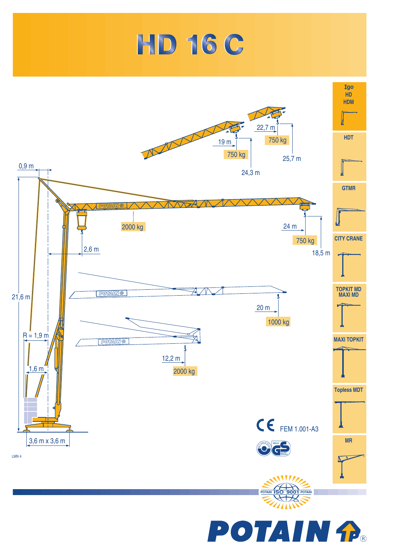



**POTAIN A**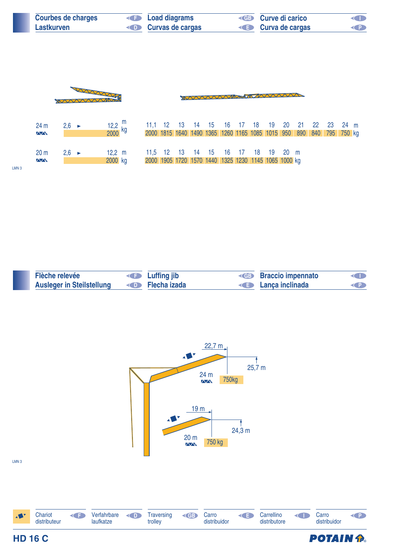| <b>Courbes de charges</b> | <b>E</b> Load diagrams            | <b>ED</b> Curve di carico | O           |
|---------------------------|-----------------------------------|---------------------------|-------------|
| Lastkurven                | <b>Example 2 Curvas de cargas</b> | <b>E</b> Curva de cargas  | <b>EXPL</b> |



**D Flecha** izada **Flèche relevée CB Luffing jib CB Ausleger in Steilstellung Braccio impennato Lança inclinada P**



LMN 3

**HD 16 C** 



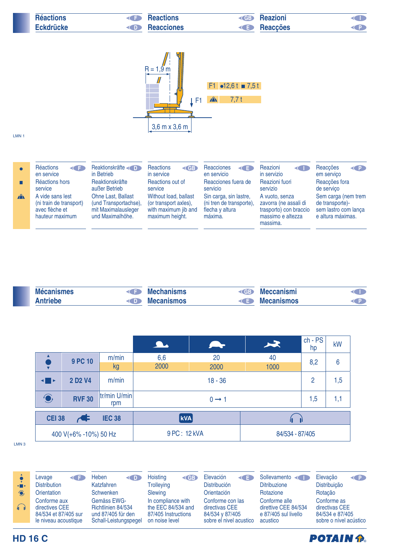| <b>Réactions</b> | <b>Reactions</b><br>$\leftarrow$ | <b>Reazioni</b><br>$\triangle$ GB |  |
|------------------|----------------------------------|-----------------------------------|--|
| <b>Eckdrücke</b> | <b>Example Reacciones</b>        | <b>Example Reaccões</b>           |  |



## LMN 1

|              | Réactions<br><b>KIT</b><br>en service                                            | Reaktionskräfte<br>in Betrieb                                                                 | <b>Reactions</b><br>$\left($ GB<br>in service                                             | <b>Reacciones</b><br>$\triangleleft$<br>en servicio                              | Reazioni<br>≺⊂<br>in servizio                                                                      | Reaccões<br>$\left\langle \right\rangle$<br>em servico                              |
|--------------|----------------------------------------------------------------------------------|-----------------------------------------------------------------------------------------------|-------------------------------------------------------------------------------------------|----------------------------------------------------------------------------------|----------------------------------------------------------------------------------------------------|-------------------------------------------------------------------------------------|
|              | Réactions hors<br>service                                                        | <b>Reaktionskräfte</b><br>außer Betrieb                                                       | Reactions out of<br>service                                                               | Reacciones fuera de<br>servicio                                                  | Reazioni fuori<br>servizio                                                                         | Reacções fora<br>de servico                                                         |
| $\mathbf{A}$ | A vide sans lest<br>(ni train de transport)<br>avec flèche et<br>hauteur maximum | <b>Ohne Last, Ballast</b><br>(und Transportachse),<br>mit Maximalausleger<br>und Maximalhöhe. | Without load, ballast<br>(or transport axles),<br>with maximum jib and<br>maximum height. | Sin carga, sin lastre,<br>(ni tren de transporte),<br>flecha y altura<br>máxima. | A vuoto, senza<br>zavorra (ne assali di<br>trasporto) con braccio<br>massimo e altezza<br>massima. | Sem carga (nem trem<br>de transporte)-<br>sem lastro com lança<br>e altura máximas. |

| <b>Mécanismes</b> | <b>Mechanisms</b> | <b>Example 2</b> Meccanismi |  |
|-------------------|-------------------|-----------------------------|--|
| <b>Antriebe</b>   | <b>Mecanismos</b> | <b>E</b> Mecanismos         |  |

|                                     |                                 |                     | $\Delta$          | $\sim$ 7        | $\star$ | $ch - PS$<br>hp | kW  |
|-------------------------------------|---------------------------------|---------------------|-------------------|-----------------|---------|-----------------|-----|
|                                     | 9 PC 10                         | m/min               | 6,6               | 20              | 40      | 8,2             | 6   |
|                                     |                                 | kg                  | 2000              | 2000            | 1000    |                 |     |
| $\blacksquare$                      | 2 D <sub>2</sub> V <sub>4</sub> | m/min               | $18 - 36$         |                 |         | $\overline{2}$  | 1,5 |
| $\bigodot$                          | <b>RVF 30</b>                   | tr/min U/min<br>rpm | $0 \rightarrow 1$ |                 |         | 1,5             | 1,1 |
| <b>CEI 38</b><br><b>IEC 38</b><br>Æ |                                 | $\vert$ kVA $\vert$ |                   |                 |         |                 |     |
| 400 V(+6% -10%) 50 Hz               |                                 | 9 PC: 12 kVA        |                   | 84/534 - 87/405 |         |                 |     |

LMN 3





## **HD 16 C**